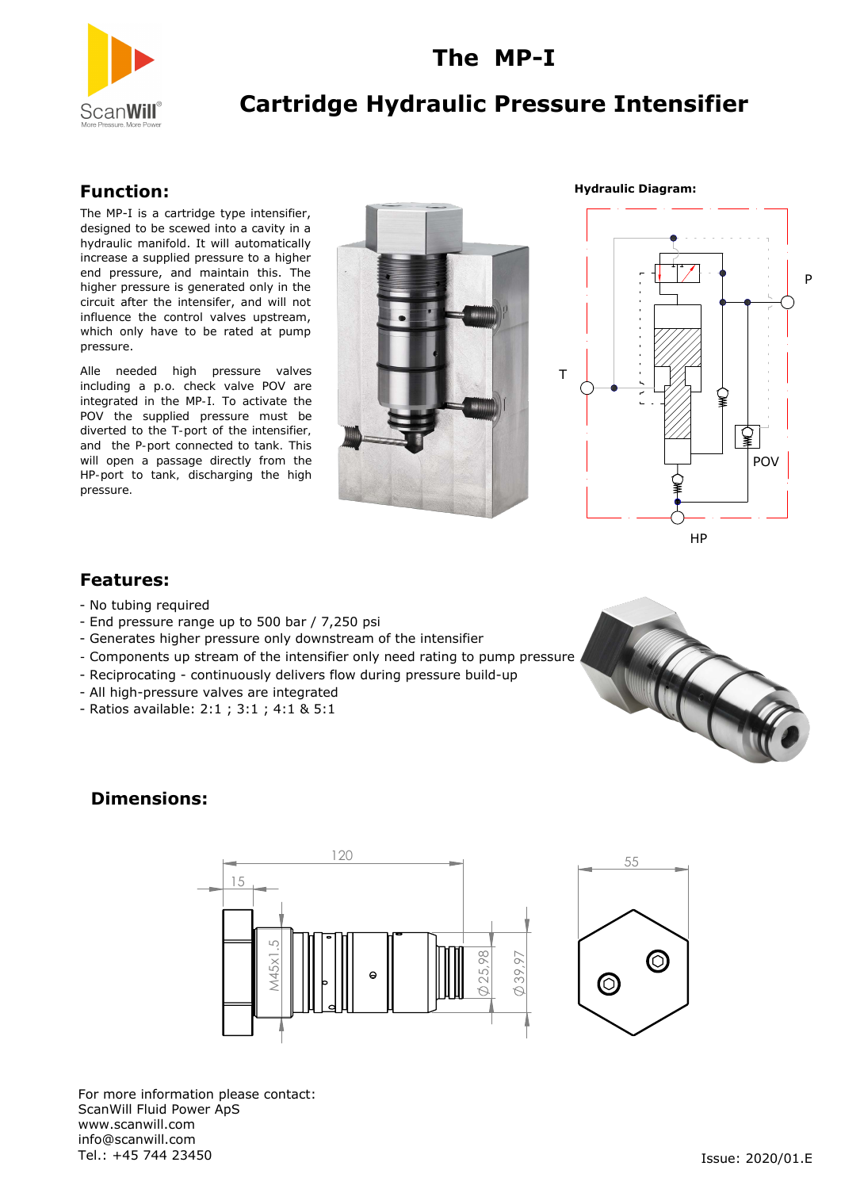

## **Cartridge Hydraulic Pressure Intensifier**

**The MP-I**

#### **Function:**

The MP-I is a cartridge type intensifier, designed to be scewed into a cavity in a hydraulic manifold. It will automatically increase a supplied pressure to a higher end pressure, and maintain this. The higher pressure is generated only in the circuit after the intensifer, and will not influence the control valves upstream, which only have to be rated at pump pressure.

Alle needed high pressure valves including a p.o. check valve POV are integrated in the MP-I. To activate the POV the supplied pressure must be diverted to the T-port of the intensifier, and the P-port connected to tank. This will open a passage directly from the HP-port to tank, discharging the high pressure.



**Hydraulic Diagram:**



P

#### **Features:**

- No tubing required
- End pressure range up to 500 bar / 7,250 psi
- Generates higher pressure only downstream of the intensifier
- Components up stream of the intensifier only need rating to pump pressure
- Reciprocating continuously delivers flow during pressure build-up
- All high-pressure valves are integrated
- Ratios available: 2:1 ; 3:1 ; 4:1 & 5:1



### **Dimensions:**





For more information please contact: ScanWill Fluid Power ApS www.scanwill.com info@scanwill.com<br>Tel.: +45 744 23450